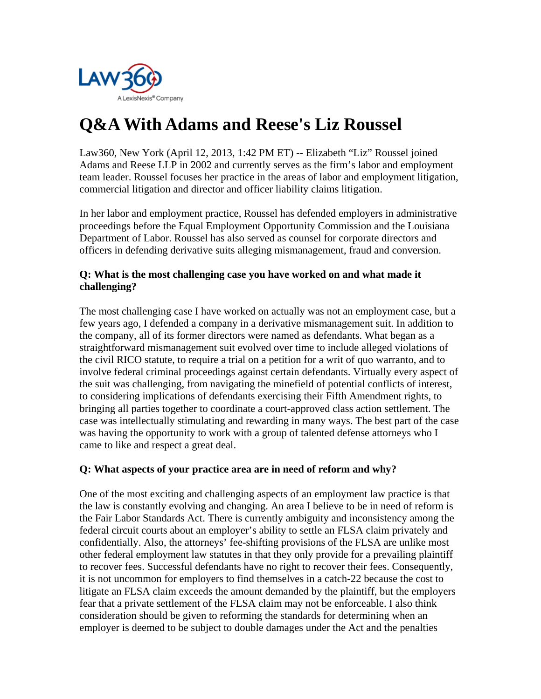

# **Q&A With Adams and Reese's Liz Roussel**

Law360, New York (April 12, 2013, 1:42 PM ET) -- Elizabeth "Liz" Roussel joined Adams and Reese LLP in 2002 and currently serves as the firm's labor and employment team leader. Roussel focuses her practice in the areas of labor and employment litigation, commercial litigation and director and officer liability claims litigation.

In her labor and employment practice, Roussel has defended employers in administrative proceedings before the Equal Employment Opportunity Commission and the Louisiana Department of Labor. Roussel has also served as counsel for corporate directors and officers in defending derivative suits alleging mismanagement, fraud and conversion.

# **Q: What is the most challenging case you have worked on and what made it challenging?**

The most challenging case I have worked on actually was not an employment case, but a few years ago, I defended a company in a derivative mismanagement suit. In addition to the company, all of its former directors were named as defendants. What began as a straightforward mismanagement suit evolved over time to include alleged violations of the civil RICO statute, to require a trial on a petition for a writ of quo warranto, and to involve federal criminal proceedings against certain defendants. Virtually every aspect of the suit was challenging, from navigating the minefield of potential conflicts of interest, to considering implications of defendants exercising their Fifth Amendment rights, to bringing all parties together to coordinate a court-approved class action settlement. The case was intellectually stimulating and rewarding in many ways. The best part of the case was having the opportunity to work with a group of talented defense attorneys who I came to like and respect a great deal.

## **Q: What aspects of your practice area are in need of reform and why?**

One of the most exciting and challenging aspects of an employment law practice is that the law is constantly evolving and changing. An area I believe to be in need of reform is the Fair Labor Standards Act. There is currently ambiguity and inconsistency among the federal circuit courts about an employer's ability to settle an FLSA claim privately and confidentially. Also, the attorneys' fee-shifting provisions of the FLSA are unlike most other federal employment law statutes in that they only provide for a prevailing plaintiff to recover fees. Successful defendants have no right to recover their fees. Consequently, it is not uncommon for employers to find themselves in a catch-22 because the cost to litigate an FLSA claim exceeds the amount demanded by the plaintiff, but the employers fear that a private settlement of the FLSA claim may not be enforceable. I also think consideration should be given to reforming the standards for determining when an employer is deemed to be subject to double damages under the Act and the penalties